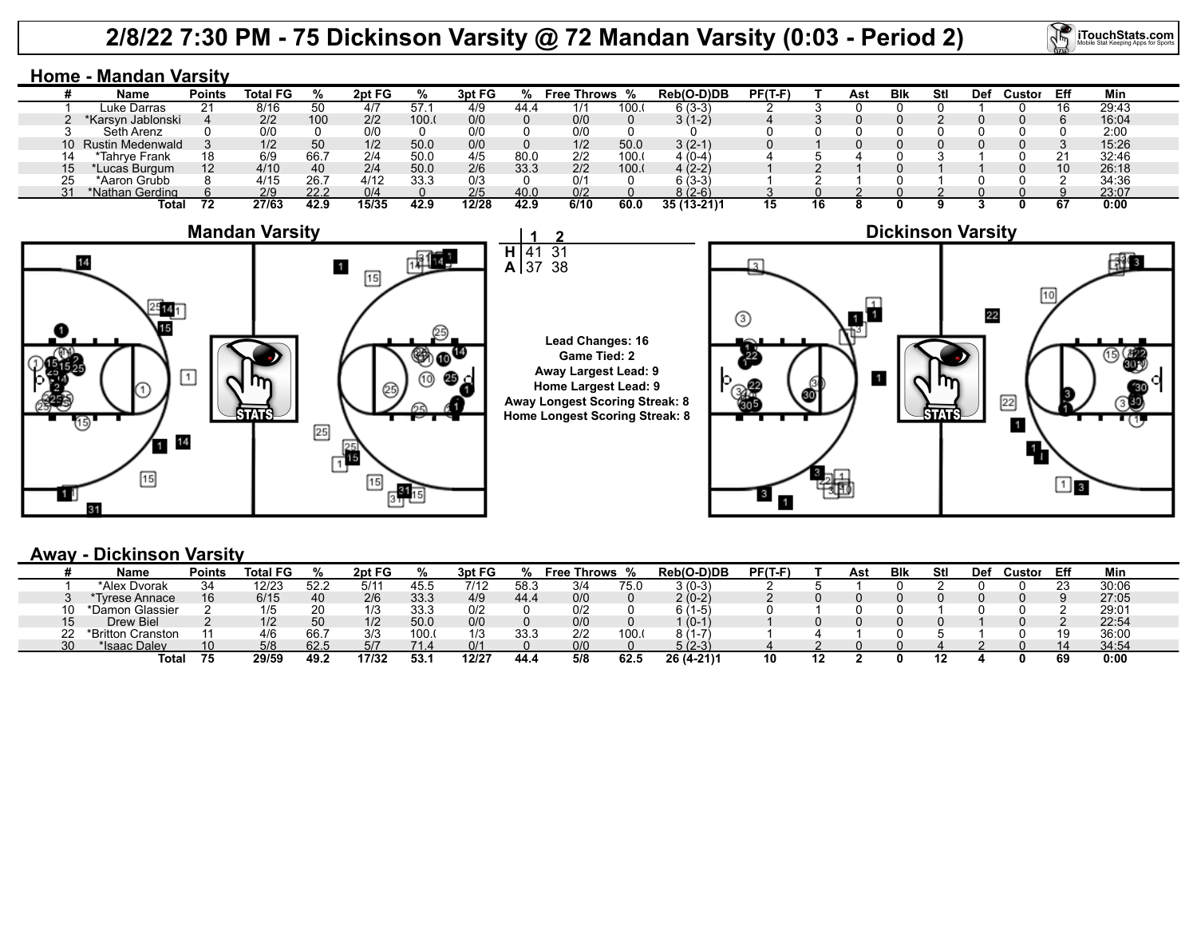# **2/8/22 7:30 PM - 75 Dickinson Varsity @ 72 Mandan Varsity (0:03 - Period 2)**

41 37

**2** 31 38 **iTouchStats.com** 

## **Home - Mandan Varsity**

|          | Name                | Points            | Total FG |      | 2pt FG |      | 3pt FG |      | Free T<br>Throws |      | Reb(O-D)DB  | $PF(T-F)$ |    | Ast | Blk | Stl | Def | Custor | Eff | Min   |
|----------|---------------------|-------------------|----------|------|--------|------|--------|------|------------------|------|-------------|-----------|----|-----|-----|-----|-----|--------|-----|-------|
|          | Luke Darras         | 21                | 8/16     | 50   | 4/7    | 57.  | 4/9    | 44.4 | 1/1              | 100. | 6 (3-3)     |           |    |     |     |     |     |        |     | 29:43 |
|          | *Karsyn Jablonski   |                   | 2/2      | 100  | 2/2    | 100. | 0/0    |      | 0/0              |      | 3 (1-2)     |           |    |     |     |     |     |        |     | 16:04 |
|          | Seth Arenz          |                   | 0/0      |      |        |      | 0/0    |      | 0/0              |      |             |           |    |     |     |     |     |        |     | 2:00  |
|          | 10 Rustin Medenwald |                   | 1/2      | 50   | 1/2    | 50.0 | 0/0    |      | 1/2              | 50.0 | $3(2-1)$    |           |    |     |     |     |     |        |     | 15:26 |
|          | *Tahrye Frank       | 18                | 6/9      | 66.  | 2/4    | 50.0 | 4/5    | 80(  | 2/2              | 100. | (0-4        |           |    |     |     |     |     |        |     | 32:46 |
| 15       | 'Lucas Burgum       | $12 \overline{ }$ | 4/10     | 40   | 2/4    | 50.0 | 2/6    | 33.3 | 2/2              | 100. | $4(2-2)$    |           |    |     |     |     |     |        |     | 26:18 |
| 25       | *Aaron Grubb        |                   | 4/15     | 26.7 | 4/12   | 33.3 | 0/3    |      | 0/1              |      | $(3-3)$     |           |    |     |     |     |     |        |     | 34:36 |
| $\Omega$ | *Nathan Gerding     |                   | 2/9      | 22.2 |        |      | 2/5    | 40.0 | 0/2              |      | 8 (2-6)     |           |    |     |     |     |     |        |     | 23:07 |
|          | Tota                |                   | 27/63    | 42.9 | 15/35  | 42.9 | 12/28  | 42.9 | 6/10             | 60.0 | 35 (13-21)1 | 15        | 16 |     |     |     |     |        |     | 0:00  |



### **Lead Changes: 16 Game Tied: 2 Away Largest Lead: 9 Home Largest Lead: 9 Away Longest Scoring Streak: 8 Home Longest Scoring Streak: 8**



## **Away - Dickinson Varsity**

|    | Name              | Points | <b>Total FG</b> |      | 2pt FG |       | 3pt FG         |          | <b>Throws</b><br>Free |      | Reb(O-D)DB | PF(T-F | Ast | <b>BIK</b> | Stl | <b>Def</b> | Custor | Eff | Min   |
|----|-------------------|--------|-----------------|------|--------|-------|----------------|----------|-----------------------|------|------------|--------|-----|------------|-----|------------|--------|-----|-------|
|    | *Alex Dvorak      | 34     | 12/23           | 52.2 | 5/1    | -45.5 | 7/12           | 58.3     | 3/4                   | 75.U | $(0-3)$    |        |     |            |     |            |        |     | 30:06 |
|    | Tyrese Annace     | 16     | 6/15            | 40   | 2/6    | 33.3  | 4/9            | 44.      | 0/0                   |      | 2 (0-2)    |        |     |            |     |            |        |     | 27:05 |
|    | *Damon Glassier   |        | 1/5             | 20   |        | 33.3  | 0/2            |          | 0/2                   |      | 1-5)       |        |     |            |     |            |        |     | 29:01 |
|    | <b>Drew Biel</b>  |        | 1/2             | 50   | 1/2    | 50.0  | 0/0            |          | 0/0                   |      | $(0 - 1)$  |        |     |            |     |            |        |     | 22:54 |
|    | *Britton Cranston |        | 4/6             | 66.  | 3/3    | 100.  | $\overline{1}$ | າາ<br>טب | 2/2                   | 100. |            |        |     |            |     |            |        |     | 36:00 |
| 30 | *Isaac Daley      | 10     | 5/8             | 62.5 | 5/7    | 71.4  | 0/1            |          | 0/0                   |      | 5 (2-3)    |        |     |            |     |            |        |     | 34:54 |
|    | Tota              | 75     | 29/59           | 49.2 | 17/32  | 53.   | 12/27          | 44.      | 5/8                   | 62.5 | 26 (4-21)1 |        |     |            |     |            |        |     | 0:00  |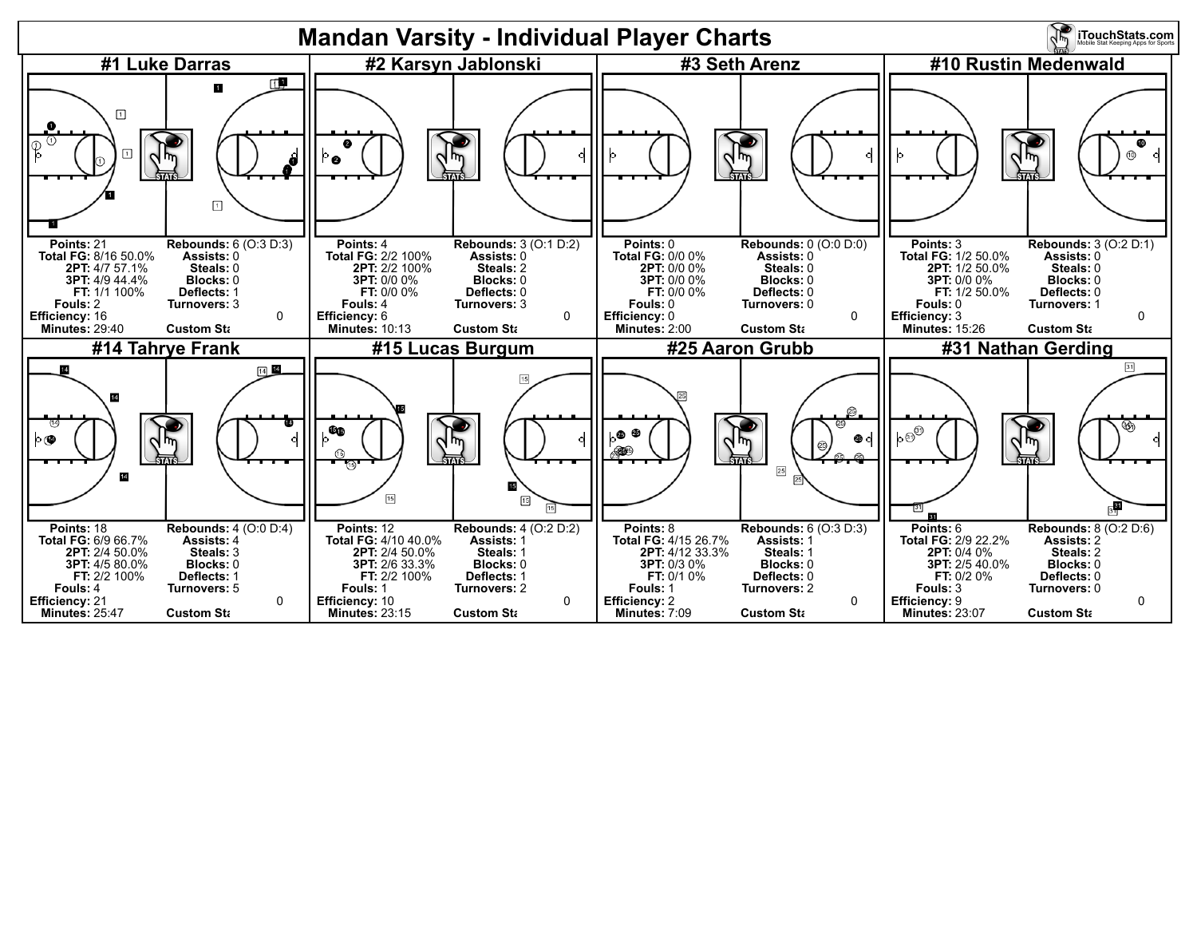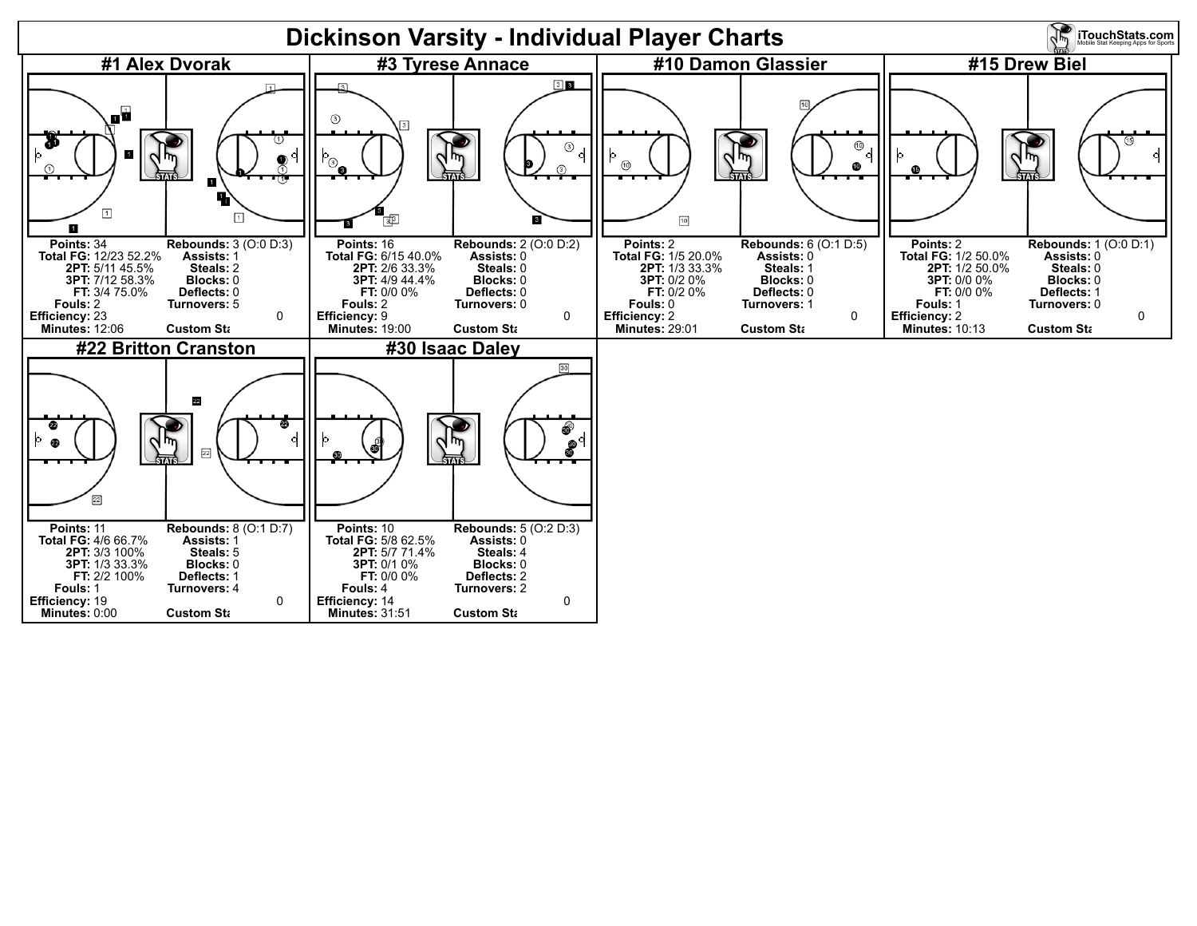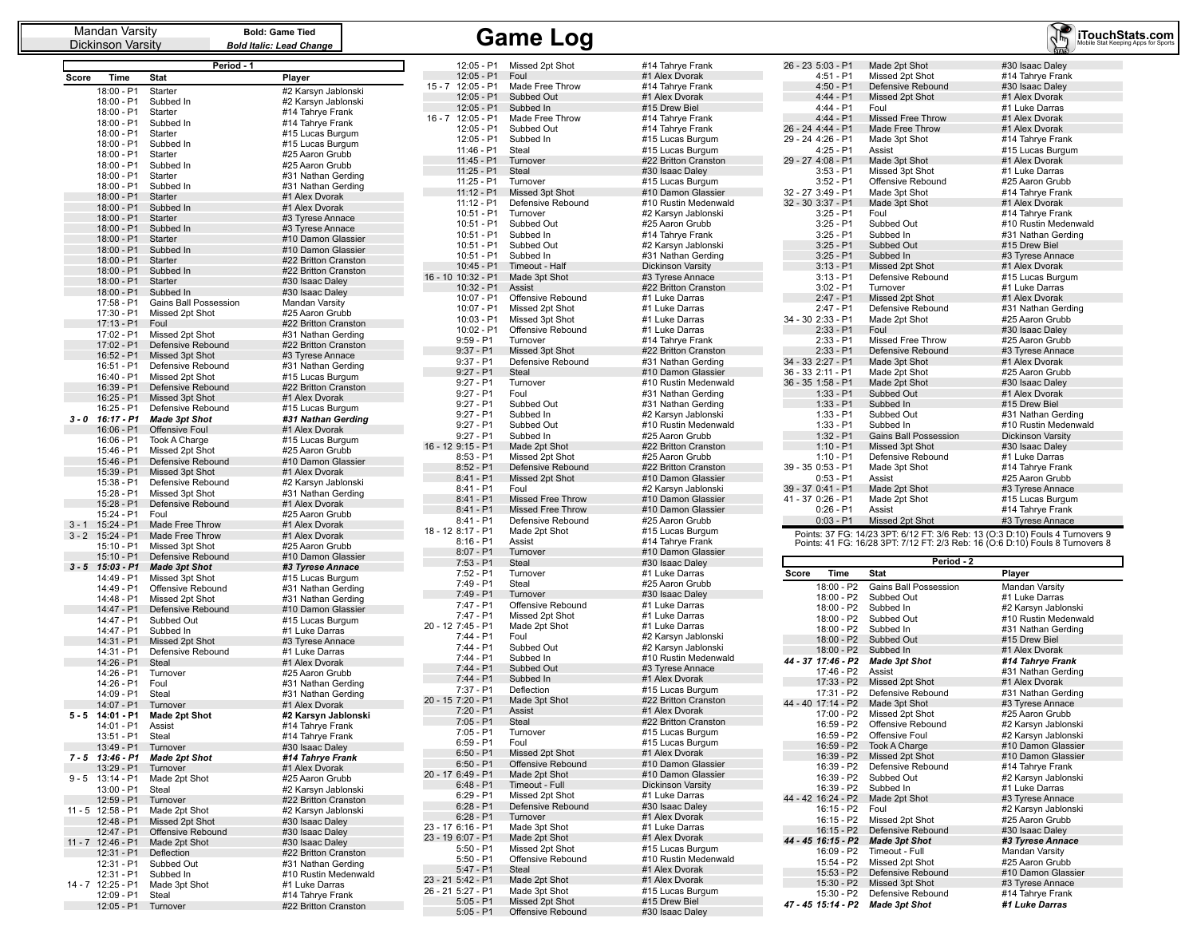Dickinson Varsity

|          |                            | Period - 1                                |                                            |
|----------|----------------------------|-------------------------------------------|--------------------------------------------|
| Score    | Time                       | Stat                                      | Player                                     |
|          | 18:00 - P1                 | Starter                                   | #2 Karsyn Jablonski                        |
|          | 18:00 - P1                 | Subbed In                                 | #2 Karsyn Jablonski                        |
|          | 18:00 - P1                 | Starter                                   | #14 Tahrye Frank                           |
|          | 18:00 - P1<br>18:00 - P1   | Subbed In<br>Starter                      | #14 Tahrye Frank<br>#15 Lucas Burgum       |
|          | 18:00 - P1                 | Subbed In                                 | #15 Lucas Burgum                           |
|          | 18:00 - P1                 | Starter                                   | #25 Aaron Grubb                            |
|          | 18:00 - P1                 | Subbed In                                 | #25 Aaron Grubb                            |
|          | 18:00 - P1                 | Starter                                   | #31 Nathan Gerding                         |
|          | 18:00 - P1<br>18:00 - P1   | Subbed In<br>Starter                      | #31 Nathan Gerding<br>#1 Alex Dvorak       |
|          | 18:00 - P1                 | Subbed In                                 | #1 Alex Dvorak                             |
|          | 18:00 - P1                 | Starter                                   | #3 Tyrese Annace                           |
|          | 18:00 - P1                 | Subbed In                                 | #3 Tyrese Annace                           |
|          | 18:00 - P1                 | Starter                                   | #10 Damon Glassier                         |
|          | 18:00 - P1<br>18:00 - P1   | Subbed In<br>Starter                      | #10 Damon Glassier<br>#22 Britton Cranston |
|          | 18:00 - P1                 | Subbed In                                 | #22 Britton Cranston                       |
|          | 18:00 - P1                 | Starter                                   | #30 Isaac Daley                            |
|          | 18:00 - P1                 | Subbed In                                 | #30 Isaac Daley                            |
|          | 17:58 - P1                 | Gains Ball Possession                     | Mandan Varsity                             |
|          | 17:30 - P1<br>$17:13 - P1$ | Missed 2pt Shot<br>Foul                   | #25 Aaron Grubb<br>#22 Britton Cranston    |
|          | 17:02 - P1                 | Missed 2pt Shot                           | #31 Nathan Gerding                         |
|          | 17:02 - P1                 | Defensive Rebound                         | #22 Britton Cranston                       |
|          | 16:52 - P1                 | Missed 3pt Shot                           | #3 Tyrese Annace                           |
|          | 16:51 - P1                 | Defensive Rebound                         | #31 Nathan Gerding                         |
|          | 16:40 - P1<br>16:39 - P1   | Missed 2pt Shot<br>Defensive Rebound      | #15 Lucas Burgum<br>#22 Britton Cranston   |
|          | 16:25 - P1                 | Missed 3pt Shot                           | #1 Alex Dvorak                             |
|          | 16:25 - P1                 | Defensive Rebound                         | #15 Lucas Burgum                           |
| 3 - 0    | 16:17 - P1                 | <b>Made 3pt Shot</b>                      | #31 Nathan Gerding                         |
|          | $16:06 - P1$<br>16:06 - P1 | Offensive Foul                            | #1 Alex Dvorak<br>#15 Lucas Burgum         |
|          | 15:46 - P1                 | Took A Charge<br>Missed 2pt Shot          | #25 Aaron Grubb                            |
|          | 15:46 - P1                 | Defensive Rebound                         | #10 Damon Glassier                         |
|          | 15:39 - P1                 | Missed 3pt Shot                           | #1 Alex Dvorak                             |
|          | 15:38 - P1                 | Defensive Rebound                         | #2 Karsyn Jablonski                        |
|          | 15:28 - P1<br>15:28 - P1   | Missed 3pt Shot<br>Defensive Rebound      | #31 Nathan Gerding<br>#1 Alex Dvorak       |
|          | 15:24 - P1                 | Foul                                      | #25 Aaron Grubb                            |
| $3 - 1$  | 15:24 - P1                 | Made Free Throw                           | #1 Alex Dvorak                             |
| $3 - 2$  | 15:24 - P1                 | Made Free Throw                           | #1 Alex Dvorak                             |
|          | 15:10 - P1                 | Missed 3pt Shot                           | #25 Aaron Grubb                            |
| $3 - 5$  | 15:10 - P1<br>$15:03 - P1$ | Defensive Rebound<br><b>Made 3pt Shot</b> | #10 Damon Glassier<br>#3 Tyrese Annace     |
|          | 14:49 - P1                 | Missed 3pt Shot                           | #15 Lucas Burgum                           |
|          | 14:49 - P1                 | Offensive Rebound                         | #31 Nathan Gerding                         |
|          | 14:48 - P1                 | Missed 2pt Shot                           | #31 Nathan Gerding                         |
|          | 14:47 - P1<br>14:47 - P1   | Defensive Rebound<br>Subbed Out           | #10 Damon Glassier<br>#15 Lucas Burgum     |
|          | 14:47 - P1                 | Subbed In                                 | #1 Luke Darras                             |
|          | 14:31 - P1                 | Missed 2pt Shot                           | #3 Tyrese Annace                           |
|          | 14:31 - P1                 | Defensive Rebound                         | #1 Luke Darras                             |
|          | 14:26 - P1<br>14:26 - P1   | Steal                                     | #1 Alex Dvorak                             |
|          | 14:26 - P1                 | Turnover<br>Foul                          | #25 Aaron Grubb<br>#31 Nathan Gerding      |
|          | 14:09 - P1                 | Steal                                     | #31 Nathan Gerding                         |
|          | 14:07 - P1                 | Turnover                                  | #1 Alex Dvorak                             |
| $5-5$    | 14:01 - P1                 | <b>Made 2pt Shot</b>                      | #2 Karsyn Jablonski                        |
|          | 14:01 - P1<br>13:51 - P1   | Assist<br>Steal                           | #14 Tahrye Frank                           |
|          | 13:49 - P1                 | Turnover                                  | #14 Tahrye Frank<br>#30 Isaac Daley        |
| $7 - 5$  | 13:46 - P1                 | <b>Made 2pt Shot</b>                      | #14 Tahrye Frank                           |
|          | 13:29 - P1                 | Turnover                                  | #1 Alex Dvorak                             |
| $9 - 5$  | 13:14 - P1                 | Made 2pt Shot                             | #25 Aaron Grubb<br>#2 Karsyn Jablonski     |
|          | 13:00 - P1<br>12:59 - P1   | Steal<br>Turnover                         | #22 Britton Cranston                       |
| 11 - 5   | 12:58 - P1                 | Made 2pt Shot                             | #2 Karsyn Jablonski                        |
|          | 12:48 - P1                 | Missed 2pt Shot                           | #30 Isaac Daley                            |
|          | 12:47 - P1                 | Offensive Rebound                         | #30 Isaac Daley                            |
| $11 - 7$ | 12:46 - P1<br>12:31 - P1   | Made 2pt Shot<br>Deflection               | #30 Isaac Daley<br>#22 Britton Cranston    |
|          | 12:31 - P1                 | Subbed Out                                | #31 Nathan Gerding                         |
|          | 12:31 - P1                 | Subbed In                                 | #10 Rustin Medenwald                       |
| $14 - 7$ | 12:25 - P1                 | Made 3pt Shot                             | #1 Luke Darras                             |
|          | 12:09 - P1                 | Steal                                     | #14 Tahrye Frank                           |
|          | 12:05 - P1                 | Turnover                                  | #22 Britton Cranston                       |

| 15 - 7 | 12:05 - P1                       | Missed 2pt Shot                    | #14 Tahrye Frank                               |
|--------|----------------------------------|------------------------------------|------------------------------------------------|
|        | 12:05 - P1                       | Foul                               | #1 Alex Dvorak                                 |
|        | 12:05 - P1                       | Made Free Throw                    | #14 Tahrve Frank                               |
|        | 12:05 - P1                       | Subbed Out                         | #1 Alex Dvorak                                 |
|        | 12:05 - P1                       | Subbed In                          | #15 Drew Biel                                  |
| 16 - 7 | 12:05 - P1                       | Made Free Throw                    | #14 Tahrye Frank                               |
|        | 12:05 - P1                       | Subbed Out                         | #14 Tahrye Frank                               |
|        | 12:05 - P1                       | Subbed In                          | #15 Lucas Burgum                               |
|        | 11:46 - P1<br>11:45 - P1         | Steal<br>Turnover                  | #15 Lucas Burgum<br>#22 Britton Cranston       |
|        | 11:25 - P1                       | Steal                              | #30 Isaac Daley                                |
|        | 11:25 - P1                       | Turnover                           | #15 Lucas Burgum                               |
|        | $11:12 - P1$                     | Missed 3pt Shot                    | #10 Damon Glassier                             |
|        | 11:12 - P1                       | Defensive Rebound                  | #10 Rustin Medenwald                           |
|        | 10:51 - P1                       | Turnover                           | #2 Karsyn Jablonski                            |
|        | 10:51 - P1                       | Subbed Out                         | #25 Aaron Grubb                                |
|        | 10:51 - P1                       | Subbed In                          | #14 Tahrye Frank                               |
|        | 10:51 - P1                       | Subbed Out                         | #2 Karsyn Jablonski                            |
|        | 10:51 - P1<br>10:45 - P1         | Subbed In                          | #31 Nathan Gerding<br><b>Dickinson Varsity</b> |
|        | 16 - 10 10:32 - P1               | Timeout - Half<br>Made 3pt Shot    | #3 Tyrese Annace                               |
|        | 10:32 - P1                       | Assist                             | #22 Britton Cranston                           |
|        | 10:07 - P1                       | Offensive Rebound                  | #1 Luke Darras                                 |
|        | 10:07 - P1                       | Missed 2pt Shot                    | #1 Luke Darras                                 |
|        | $10:03 - P1$                     | Missed 3pt Shot                    | #1 Luke Darras                                 |
|        | 10:02 - P1                       | Offensive Rebound                  | #1 Luke Darras                                 |
|        | 9:59 - P1                        | Turnover                           | #14 Tahrye Frank                               |
|        | $9:37 - P1$<br>$9:37 - P1$       | Missed 3pt Shot                    | #22 Britton Cranston                           |
|        | 9:27 - P1                        | Defensive Rebound<br><b>Steal</b>  | #31 Nathan Gerding<br>#10 Damon Glassier       |
|        | $9:27 - P1$                      | Turnover                           | #10 Rustin Medenwald                           |
|        | $9:27 - P1$                      | Foul                               | #31 Nathan Gerding                             |
|        | $9:27 - P1$                      | Subbed Out                         | #31 Nathan Gerding                             |
|        | $9:27 - P1$                      | Subbed In                          | #2 Karsyn Jablonski                            |
|        | $9:27 - P1$                      | Subbed Out                         | #10 Rustin Medenwald                           |
|        | 9:27 - P1                        | Subbed In                          | #25 Aaron Grubb                                |
|        | 16 - 12 9:15 - P1<br>$8:53 - P1$ | Made 2pt Shot<br>Missed 2pt Shot   | #22 Britton Cranston<br>#25 Aaron Grubb        |
|        | $8:52 - P1$                      | Defensive Rebound                  | #22 Britton Cranston                           |
|        | $8:41 - P1$                      | Missed 2pt Shot                    | #10 Damon Glassier                             |
|        | $8:41 - P1$                      | Foul                               | #2 Karsyn Jablonski                            |
|        | 8:41 - P1                        | Missed Free Throw                  | #10 Damon Glassier                             |
|        | $8:41 - P1$                      | Missed Free Throw                  | #10 Damon Glassier                             |
|        | 8:41 - P1<br>18 - 12 8:17 - P1   | Defensive Rebound<br>Made 2pt Shot | #25 Aaron Grubb<br>#15 Lucas Burgum            |
|        | $8:16 - P1$                      | Assist                             | #14 Tahrye Frank                               |
|        | $8:07 - P1$                      | Turnover                           | #10 Damon Glassier                             |
|        | 7:53 - P1                        | Steal                              | #30 Isaac Daley                                |
|        |                                  |                                    |                                                |
|        | 7:52 - P1                        | Turnover                           | #1 Luke Darras                                 |
|        | 7:49 - P1                        | Steal                              | #25 Aaron Grubb                                |
|        | 7:49 - P1                        | Turnover                           | #30 Isaac Daley                                |
|        | 7:47 - P1                        | Offensive Rebound                  | #1 Luke Darras                                 |
|        | 7:47 - P1                        | Missed 2pt Shot                    | #1 Luke Darras                                 |
|        | 20 - 12 7:45 - P1                | Made 2pt Shot<br>Foul              | #1 Luke Darras                                 |
|        | 7:44 - P1<br>$7:44 - P1$         | Subbed Out                         | #2 Karsyn Jablonski<br>#2 Karsyn Jablonski     |
|        | 7:44 - P1                        | Subbed In                          | #10 Rustin Medenwald                           |
|        | $7:44 - P1$                      | Subbed Out                         | #3 Tyrese Annace                               |
|        | $7:44 - P1$                      | Subbed In                          | #1 Alex Dvorak                                 |
|        | 7:37 - P1                        | Deflection                         | #15 Lucas Burgum                               |
|        | 20 - 15 7:20 - P1                | Made 3pt Shot                      | #22 Britton Cranston                           |
|        | $7:20 - P1$                      | Assist<br>Steal                    | #1 Alex Dvorak                                 |
|        | $7:05 - P1$<br>$7:05 - P1$       | Turnover                           | #22 Britton Cranston<br>#15 Lucas Burgum       |
|        | 6:59 - P1                        | Foul                               | #15 Lucas Burgum                               |
|        | 6:50 - P1                        | Missed 2pt Shot                    | #1 Alex Dvorak                                 |
|        | $6:50 - P1$                      | Offensive Rebound                  | #10 Damon Glassier                             |
|        | 20 - 17 6:49 - P1                | Made 2pt Shot                      | #10 Damon Glassier                             |
|        | 6:48 - P1                        | Timeout - Full                     | Dickinson Varsity                              |
|        | $6:29 - P1$                      | Missed 2pt Shot                    | #1 Luke Darras                                 |
|        | $6:28 - P1$<br>$6:28 - P1$       | Defensive Rebound<br>Turnover      | #30 Isaac Daley                                |
|        | 23 - 17 6:16 - P1                | Made 3pt Shot                      | #1 Alex Dvorak<br>#1 Luke Darras               |
|        | 23 - 19 6:07 - P1                | Made 2pt Shot                      | #1 Alex Dvorak                                 |
|        | $5:50 - P1$                      | Missed 2pt Shot                    | #15 Lucas Burgum                               |
|        | $5:50 - P1$                      | Offensive Rebound                  | #10 Rustin Medenwald                           |
|        | $5:47 - P1$                      | Steal                              | #1 Alex Dvorak                                 |
|        | 23 - 21 5:42 - P1                | Made 2pt Shot                      | #1 Alex Dvorak                                 |
|        | 26 - 21 5:27 - P1<br>$5:05 - P1$ | Made 3pt Shot<br>Missed 2pt Shot   | #15 Lucas Burgum<br>#15 Drew Biel              |

|       | Mandan Varsity<br>Dickinson Varsitv |                                      | <b>Bold: Game Tied</b><br><b>Bold Italic: Lead Change</b> |          |                                  | <b>Game Log</b>                      |                                            |                                  |                                      | iToucl                                                                        |
|-------|-------------------------------------|--------------------------------------|-----------------------------------------------------------|----------|----------------------------------|--------------------------------------|--------------------------------------------|----------------------------------|--------------------------------------|-------------------------------------------------------------------------------|
|       |                                     | Period ·                             |                                                           |          | 12:05 - P1                       | Missed 2pt Shot                      | #14 Tahrye Frank                           | 26 - 23 5:03 - P1                | Made 2pt Shot                        | #30 Isaac Daley                                                               |
| core  | Time                                | <b>Stat</b>                          | Player                                                    |          | 12:05 - P1                       | Foul                                 | #1 Alex Dvorak                             | $4:51 - P1$                      | Missed 2pt Shot                      | #14 Tahrye Frank                                                              |
|       | 18:00 - P1                          | Starter                              | #2 Karsyn Jablonski                                       |          | 15 - 7 12:05 - P1                | Made Free Throw                      | #14 Tahrye Frank                           | $4:50 - P1$                      | Defensive Rebound                    | #30 Isaac Daley                                                               |
|       | 18:00 - P1                          | Subbed In                            | #2 Karsyn Jablonski                                       |          | 12:05 - P1                       | Subbed Out                           | #1 Alex Dvorak                             | $4:44 - P1$                      | Missed 2pt Shot                      | #1 Alex Dvorak                                                                |
|       | 18:00 - P1                          | Starter                              | #14 Tahrye Frank                                          |          | $12:05 - P1$                     | Subbed In                            | #15 Drew Biel                              | $4:44 - P1$                      | Foul                                 | #1 Luke Darras                                                                |
|       | 18:00 - P1                          | Subbed In                            | #14 Tahrye Frank                                          | $16 - 7$ | 12:05 - P1                       | Made Free Throw                      | #14 Tahrye Frank                           | $4:44 - P1$                      | <b>Missed Free Throw</b>             | #1 Alex Dvorak                                                                |
|       | 18:00 - P1                          | Starter                              | #15 Lucas Burgum                                          |          | 12:05 - P1                       | Subbed Out                           | #14 Tahrye Frank                           | 26 - 24 4:44 - P1                | Made Free Throw                      | #1 Alex Dvorak                                                                |
|       | 18:00 - P1                          | Subbed In                            | #15 Lucas Burgum                                          |          | $12:05 - P1$                     | Subbed In                            | #15 Lucas Burgum                           | 29 - 24 4:26 - P1                | Made 3pt Shot                        | #14 Tahrye Frank                                                              |
|       | 18:00 - P1                          | Starter                              | #25 Aaron Grubb                                           |          | 11:46 - P1                       | Steal                                | #15 Lucas Burgum                           | $4:25 - P1$                      | Assist                               | #15 Lucas Burgum                                                              |
|       | 18:00 - P1                          | Subbed In                            | #25 Aaron Grubb                                           |          | 11:45 - P1                       | Turnover                             | #22 Britton Cranston                       | 29 - 27 4:08 - P1                | Made 3pt Shot                        | #1 Alex Dvorak<br>#1 Luke Darras                                              |
|       | 18:00 - P1                          | Starter                              | #31 Nathan Gerding                                        |          | $11:25 - P1$<br>11:25 - P1       | Steal<br>Turnover                    | #30 Isaac Daley<br>#15 Lucas Burgum        | $3:53 - P1$<br>$3:52 - P1$       | Missed 3pt Shot<br>Offensive Rebound | #25 Aaron Grubb                                                               |
|       | 18:00 - P1                          | Subbed In                            | #31 Nathan Gerding                                        |          | $11:12 - P1$                     | Missed 3pt Shot                      | #10 Damon Glassier                         | 32 - 27 3:49 - P1                | Made 3pt Shot                        | #14 Tahrye Frank                                                              |
|       | 18:00 - P1 Starter                  |                                      | #1 Alex Dvorak                                            |          | $11:12 - P1$                     | Defensive Rebound                    | #10 Rustin Medenwald                       | 32 - 30 3:37 - P1                | Made 3pt Shot                        | #1 Alex Dvorak                                                                |
|       | 18:00 - P1                          | Subbed In                            | #1 Alex Dvorak                                            |          | $10:51 - P1$                     | Turnover                             | #2 Karsyn Jablonski                        | $3:25 - P1$                      | Foul                                 | #14 Tahrye Frank                                                              |
|       | 18:00 - P1<br>18:00 - P1            | Starter<br>Subbed In                 | #3 Tyrese Annace                                          |          | $10:51 - P1$                     | Subbed Out                           | #25 Aaron Grubb                            | $3:25 - P1$                      | Subbed Out                           | #10 Rustin Medenwald                                                          |
|       | 18:00 - P1                          | Starter                              | #3 Tyrese Annace<br>#10 Damon Glassier                    |          | $10:51 - P1$                     | Subbed In                            | #14 Tahrye Frank                           | $3:25 - P1$                      | Subbed In                            | #31 Nathan Gerding                                                            |
|       | 18:00 - P1                          | Subbed In                            | #10 Damon Glassier                                        |          | $10:51 - P1$                     | Subbed Out                           | #2 Karsyn Jablonski                        | $3:25 - P1$                      | Subbed Out                           | #15 Drew Biel                                                                 |
|       | 18:00 - P1 Starter                  |                                      | #22 Britton Cranston                                      |          | $10:51 - P1$                     | Subbed In                            | #31 Nathan Gerding                         | $3:25 - P1$                      | Subbed In                            | #3 Tyrese Annace                                                              |
|       | 18:00 - P1                          | Subbed In                            | #22 Britton Cranston                                      |          | 10:45 - P1                       | Timeout - Half                       | <b>Dickinson Varsity</b>                   | $3:13 - P1$                      | Missed 2pt Shot                      | #1 Alex Dvorak                                                                |
|       | 18:00 - P1                          | Starter                              | #30 Isaac Daley                                           |          | 16 - 10 10:32 - P1               | Made 3pt Shot                        | #3 Tyrese Annace                           | $3:13 - P1$                      | Defensive Rebound                    | #15 Lucas Burgum                                                              |
|       | 18:00 - P1                          | Subbed In                            | #30 Isaac Daley                                           |          | 10:32 - P1                       | Assist                               | #22 Britton Cranston                       | $3:02 - P1$                      | Turnover                             | #1 Luke Darras                                                                |
|       | 17:58 - P1                          | <b>Gains Ball Possession</b>         | Mandan Varsity                                            |          | 10:07 - P1                       | Offensive Rebound                    | #1 Luke Darras                             | $2:47 - P1$                      | Missed 2pt Shot                      | #1 Alex Dvorak                                                                |
|       | 17:30 - P1                          | Missed 2pt Shot                      | #25 Aaron Grubb                                           |          | $10:07 - P1$                     | Missed 2pt Shot                      | #1 Luke Darras                             | $2:47 - P1$                      | Defensive Rebound<br>Made 2pt Shot   | #31 Nathan Gerding                                                            |
|       | 17:13 - P1    Foul                  |                                      | #22 Britton Cranston                                      |          | $10:03 - P1$<br>$10:02 - P1$     | Missed 3pt Shot<br>Offensive Rebound | #1 Luke Darras<br>#1 Luke Darras           | 34 - 30 2:33 - P1<br>$2:33 - P1$ | Foul                                 | #25 Aaron Grubb                                                               |
|       | 17:02 - P1                          | Missed 2pt Shot                      | #31 Nathan Gerding                                        |          | $9:59 - P1$                      | Turnover                             | #14 Tahrye Frank                           | $2:33 - P1$                      | Missed Free Throw                    | #30 Isaac Daley<br>#25 Aaron Grubb                                            |
|       | $17:02 - P1$                        | Defensive Rebound                    | #22 Britton Cranston                                      |          | $9:37 - P1$                      | Missed 3pt Shot                      | #22 Britton Cranston                       | $2:33 - P1$                      | Defensive Rebound                    | #3 Tyrese Annace                                                              |
|       | $16:52 - P1$                        | Missed 3pt Shot                      | #3 Tyrese Annace                                          |          | $9:37 - P1$                      | Defensive Rebound                    | #31 Nathan Gerding                         | 34 - 33 2:27 - P1                | Made 3pt Shot                        | #1 Alex Dvorak                                                                |
|       | 16:51 - P1                          | Defensive Rebound                    | #31 Nathan Gerding                                        |          | $9:27 - P1$                      | Steal                                | #10 Damon Glassier                         | 36 - 33 2:11 - P1                | Made 2pt Shot                        | #25 Aaron Grubb                                                               |
|       | 16:40 - P1<br>$16:39 - P1$          | Missed 2pt Shot                      | #15 Lucas Burgum<br>#22 Britton Cranston                  |          | $9:27 - P1$                      | Turnover                             | #10 Rustin Medenwald                       | 36 - 35 1:58 - P1                | Made 2pt Shot                        | #30 Isaac Daley                                                               |
|       | $16:25 - P1$                        | Defensive Rebound<br>Missed 3pt Shot | #1 Alex Dvorak                                            |          | $9:27 - P1$                      | Foul                                 | #31 Nathan Gerding                         | $1:33 - P1$                      | Subbed Out                           | #1 Alex Dvorak                                                                |
|       | 16:25 - P1                          | Defensive Rebound                    | #15 Lucas Burgum                                          |          | $9:27 - P1$                      | Subbed Out                           | #31 Nathan Gerding                         | $1:33 - P1$                      | Subbed In                            | #15 Drew Biel                                                                 |
| - 0   | 16:17 - P1                          | <b>Made 3pt Shot</b>                 | #31 Nathan Gerding                                        |          | $9:27 - P1$                      | Subbed In                            | #2 Karsyn Jablonski                        | $1:33 - P1$                      | Subbed Out                           | #31 Nathan Gerding                                                            |
|       | $16:06 - P1$                        | Offensive Foul                       | #1 Alex Dvorak                                            |          | $9:27 - P1$                      | Subbed Out                           | #10 Rustin Medenwald                       | $1:33 - P1$                      | Subbed In                            | #10 Rustin Medenwald                                                          |
|       | $16:06 - P1$                        | Took A Charge                        | #15 Lucas Burgum                                          |          | $9:27 - P1$                      | Subbed In                            | #25 Aaron Grubb                            | $1:32 - P1$                      | Gains Ball Possession                | <b>Dickinson Varsity</b>                                                      |
|       | 15:46 - P1                          | Missed 2pt Shot                      | #25 Aaron Grubb                                           |          | 16 - 12 9:15 - P1                | Made 2pt Shot                        | #22 Britton Cranston                       | $1:10 - P1$                      | Missed 3pt Shot                      | #30 Isaac Daley                                                               |
|       | 15:46 - P1                          | Defensive Rebound                    | #10 Damon Glassier                                        |          | $8:53 - P1$                      | Missed 2pt Shot                      | #25 Aaron Grubb                            | $1:10 - P1$                      | Defensive Rebound                    | #1 Luke Darras                                                                |
|       | 15:39 - P1                          | Missed 3pt Shot                      | #1 Alex Dvorak                                            |          | $8:52 - P1$                      | Defensive Rebound                    | #22 Britton Cranston                       | 39 - 35 0:53 - P1                | Made 3pt Shot                        | #14 Tahrye Frank                                                              |
|       | 15:38 - P1                          | Defensive Rebound                    | #2 Karsyn Jablonski                                       |          | $8:41 - P1$<br>$8:41 - P1$       | Missed 2pt Shot<br>Foul              | #10 Damon Glassier                         | $0:53 - P1$<br>39 - 37 0:41 - P1 | Assist<br>Made 2pt Shot              | #25 Aaron Grubb<br>#3 Tyrese Annace                                           |
|       | 15:28 - P1                          | Missed 3pt Shot                      | #31 Nathan Gerding                                        |          | $8:41 - P1$                      | <b>Missed Free Throw</b>             | #2 Karsyn Jablonski<br>#10 Damon Glassier  | 41 - 37 0:26 - P1                | Made 2pt Shot                        | #15 Lucas Burgum                                                              |
|       | 15:28 - P1                          | Defensive Rebound                    | #1 Alex Dvorak                                            |          | $8:41 - P1$                      | <b>Missed Free Throw</b>             | #10 Damon Glassier                         | $0:26 - P1$                      | Assist                               | #14 Tahrye Frank                                                              |
|       | 15:24 - P1                          | Foul                                 | #25 Aaron Grubb                                           |          | $8:41 - P1$                      | Defensive Rebound                    | #25 Aaron Grubb                            | $0:03 - P1$                      | Missed 2pt Shot                      | #3 Tyrese Annace                                                              |
|       | $-1$ 15:24 - P1                     | Made Free Throw                      | #1 Alex Dvorak                                            |          | 18 - 12 8:17 - P1                | Made 2pt Shot                        | #15 Lucas Burgum                           |                                  |                                      | Points: 37 FG: 14/23 3PT: 6/12 FT: 3/6 Reb: 13 (O:3 D:10) Fouls 4 Turnovers 9 |
|       | 3 - 2 15:24 - P1                    | Made Free Throw                      | #1 Alex Dvorak                                            |          | $8:16 - P1$                      | Assist                               | #14 Tahrye Frank                           |                                  |                                      | Points: 41 FG: 16/28 3PT: 7/12 FT: 2/3 Reb: 16 (O:6 D:10) Fouls 8 Turnovers 8 |
|       | 15:10 - P1<br>15:10 - P1            | Missed 3pt Shot<br>Defensive Rebound | #25 Aaron Grubb<br>#10 Damon Glassier                     |          | $8:07 - P1$                      | Turnover                             | #10 Damon Glassier                         |                                  |                                      |                                                                               |
|       | 8-5 15:03-P1                        | <b>Made 3pt Shot</b>                 | #3 Tyrese Annace                                          |          | $7:53 - P1$                      | Steal                                | #30 Isaac Daley                            |                                  | Period - 2                           |                                                                               |
|       | 14:49 - P1                          | Missed 3pt Shot                      | #15 Lucas Burgum                                          |          | $7:52 - P1$                      | Turnover                             | #1 Luke Darras                             | Time<br>Score                    | <b>Stat</b>                          | Player                                                                        |
|       | 14:49 - P1                          | Offensive Rebound                    | #31 Nathan Gerding                                        |          | 7:49 - P1                        | Steal                                | #25 Aaron Grubb                            | 18:00 - P2                       | Gains Ball Possession                | Mandan Varsity                                                                |
|       | 14:48 - P1                          | Missed 2pt Shot                      | #31 Nathan Gerding                                        |          | 7:49 - P1                        | Turnover                             | #30 Isaac Daley                            | 18:00 - P2                       | Subbed Out                           | #1 Luke Darras                                                                |
|       | 14:47 - P1                          | Defensive Rebound                    | #10 Damon Glassier                                        |          | $7:47 - P1$                      | Offensive Rebound                    | #1 Luke Darras                             | 18:00 - P2                       | Subbed In                            | #2 Karsyn Jablonski                                                           |
|       | 14:47 - P1                          | Subbed Out                           | #15 Lucas Burgum                                          |          | $7:47 - P1$                      | Missed 2pt Shot                      | #1 Luke Darras                             | $18:00 - P2$                     | Subbed Out                           | #10 Rustin Medenwald                                                          |
|       | 14:47 - P1                          | Subbed In                            | #1 Luke Darras                                            |          | 20 - 12 7:45 - P1<br>$7:44 - P1$ | Made 2pt Shot                        | #1 Luke Darras                             | 18:00 - P2                       | Subbed In                            | #31 Nathan Gerding                                                            |
|       | 14:31 - P1                          | Missed 2pt Shot                      | #3 Tyrese Annace                                          |          | 7:44 - P1                        | Foul<br>Subbed Out                   | #2 Karsyn Jablonski<br>#2 Karsyn Jablonski | 18:00 - P2                       | Subbed Out                           | #15 Drew Biel                                                                 |
|       | 14:31 - P1                          | Defensive Rebound                    | #1 Luke Darras                                            |          | $7:44 - P1$                      | Subbed In                            | #10 Rustin Medenwald                       | 18:00 - P2                       | Subbed In                            | #1 Alex Dvorak                                                                |
|       | 14:26 - P1                          | Steal                                | #1 Alex Dvorak                                            |          | $7:44 - P1$                      | Subbed Out                           | #3 Tyrese Annace                           | 44 - 37 17:46 - P2<br>17:46 - P2 | <b>Made 3pt Shot</b><br>Assist       | #14 Tahrye Frank<br>#31 Nathan Gerding                                        |
|       | 14:26 - P1                          | Turnover                             | #25 Aaron Grubb                                           |          | $7:44 - P1$                      | Subbed In                            | #1 Alex Dvorak                             | 17:33 - P2                       | Missed 2pt Shot                      | #1 Alex Dvorak                                                                |
|       | 14:26 - P1                          | Foul                                 | #31 Nathan Gerding                                        |          | $7:37 - P1$                      | Deflection                           | #15 Lucas Burgum                           | 17:31 - P2                       | Defensive Rebound                    | #31 Nathan Gerding                                                            |
|       | 14:09 - P1<br>14:07 - P1 Turnover   | Steal                                | #31 Nathan Gerding<br>#1 Alex Dvorak                      |          | 20 - 15 7:20 - P1                | Made 3pt Shot                        | #22 Britton Cranston                       |                                  | 44 - 40 17:14 - P2 Made 3pt Shot     | #3 Tyrese Annace                                                              |
| i - 5 |                                     | 14:01 - P1 Made 2pt Shot             | #2 Karsyn Jablonski                                       |          | $7:20 - P1$                      | Assist                               | #1 Alex Dvorak                             |                                  | 17:00 - P2 Missed 2pt Shot           | #25 Aaron Grubb                                                               |
|       | 14:01 - P1                          | Assist                               | #14 Tahrye Frank                                          |          | 7:05 - P1                        | Steal                                | #22 Britton Cranston                       | 16:59 - P2                       | Offensive Rebound                    | #2 Karsyn Jablonski                                                           |
|       | $13:51 - P1$                        | Steal                                | #14 Tahrye Frank                                          |          | $7:05 - P1$                      | Turnover                             | #15 Lucas Burgum                           |                                  | 16:59 - P2 Offensive Foul            | #2 Karsyn Jablonski                                                           |
|       | 13:49 - P1 Turnover                 |                                      | #30 Isaac Daley                                           |          | 6:59 - P1                        | Foul                                 | #15 Lucas Burgum                           |                                  | 16:59 - P2 Took A Charge             | #10 Damon Glassier                                                            |
|       | 7 - 5 13:46 - P1                    | <b>Made 2pt Shot</b>                 | #14 Tahrye Frank                                          |          | $6:50 - P1$                      | Missed 2pt Shot                      | #1 Alex Dvorak                             | 16:39 - P2                       | Missed 2pt Shot                      | #10 Damon Glassier                                                            |
|       | 13:29 - P1 Turnover                 |                                      | #1 Alex Dvorak                                            |          | $6:50 - P1$                      | Offensive Rebound                    | #10 Damon Glassier                         | 16:39 - P2                       | Defensive Rebound                    | #14 Tahrye Frank                                                              |
|       | 0 - 5 13:14 - P1                    | Made 2pt Shot                        | #25 Aaron Grubb                                           |          | 20 - 17 6:49 - P1                | Made 2pt Shot                        | #10 Damon Glassier                         |                                  | 16:39 - P2 Subbed Out                | #2 Karsyn Jablonski                                                           |
|       | 13:00 - P1                          | Steal                                | #2 Karsyn Jablonski                                       |          | $6:48 - P1$                      | Timeout - Full                       | <b>Dickinson Varsity</b><br>#1 Luke Darras | 16:39 - P2                       | Subbed In                            | #1 Luke Darras                                                                |
|       | 12:59 - P1 Turnover                 |                                      | #22 Britton Cranston                                      |          | $6:29 - P1$                      | Missed 2pt Shot<br>Defensive Rebound | #30 Isaac Daley                            | 44 - 42 16:24 - P2               | Made 2pt Shot                        | #3 Tyrese Annace                                                              |
|       | 1 - 5 12:58 - P1                    | Made 2pt Shot                        | #2 Karsyn Jablonski                                       |          | $6:28 - P1$<br>$6:28 - P1$       | Turnover                             | #1 Alex Dvorak                             | 16:15 - P2    Foul               |                                      | #2 Karsyn Jablonski                                                           |
|       | 12:48 - P1                          | Missed 2pt Shot                      | #30 Isaac Daley                                           |          | 23 - 17 6:16 - P1                | Made 3pt Shot                        | #1 Luke Darras                             | 16:15 - P2                       | Missed 2pt Shot                      | #25 Aaron Grubb                                                               |
|       |                                     | 12:47 - P1 Offensive Rebound         | #30 Isaac Daley                                           |          | 23 - 19 6:07 - P1                | Made 2pt Shot                        | #1 Alex Dvorak                             | 16:15 - P2                       | Defensive Rebound                    | #30 Isaac Daley                                                               |
|       | 1 - 7 12:46 - P1                    | Made 2pt Shot                        | #30 Isaac Daley                                           |          | 5:50 - P1                        | Missed 2pt Shot                      | #15 Lucas Burgum                           |                                  | 44 - 45 16:15 - P2 Made 3pt Shot     | #3 Tyrese Annace                                                              |
|       | 12:31 - P1                          | Deflection                           | #22 Britton Cranston                                      |          | $5:50 - P1$                      | Offensive Rebound                    | #10 Rustin Medenwald                       | 16:09 - P2<br>15:54 - P2         | Timeout - Full<br>Missed 2pt Shot    | Mandan Varsity<br>#25 Aaron Grubb                                             |
|       | 12:31 - P1                          | Subbed Out                           | #31 Nathan Gerding                                        |          | $5:47 - P1$                      | Steal                                | #1 Alex Dvorak                             |                                  | 15:53 - P2 Defensive Rebound         | #10 Damon Glassier                                                            |
|       | 12:31 - P1<br>4 - 7 12:25 - P1      | Subbed In<br>Made 3pt Shot           | #10 Rustin Medenwald<br>#1 Luke Darras                    |          | 23 - 21 5:42 - P1                | Made 2pt Shot                        | #1 Alex Dvorak                             |                                  | 15:30 - P2 Missed 3pt Shot           | #3 Tyrese Annace                                                              |
|       | 12:09 - P1 Steal                    |                                      | #14 Tahrve Frank                                          |          | 26 - 21 5:27 - P1                | Made 3pt Shot                        | #15 Lucas Burgum                           |                                  | 15:30 - P2 Defensive Rebound         | #14 Tahrye Frank                                                              |
|       |                                     |                                      |                                                           |          |                                  |                                      |                                            |                                  |                                      |                                                                               |

*47 - 45 15:14 - P2 Made 3pt Shot #1 Luke Darras*

**iTouchStats.com**